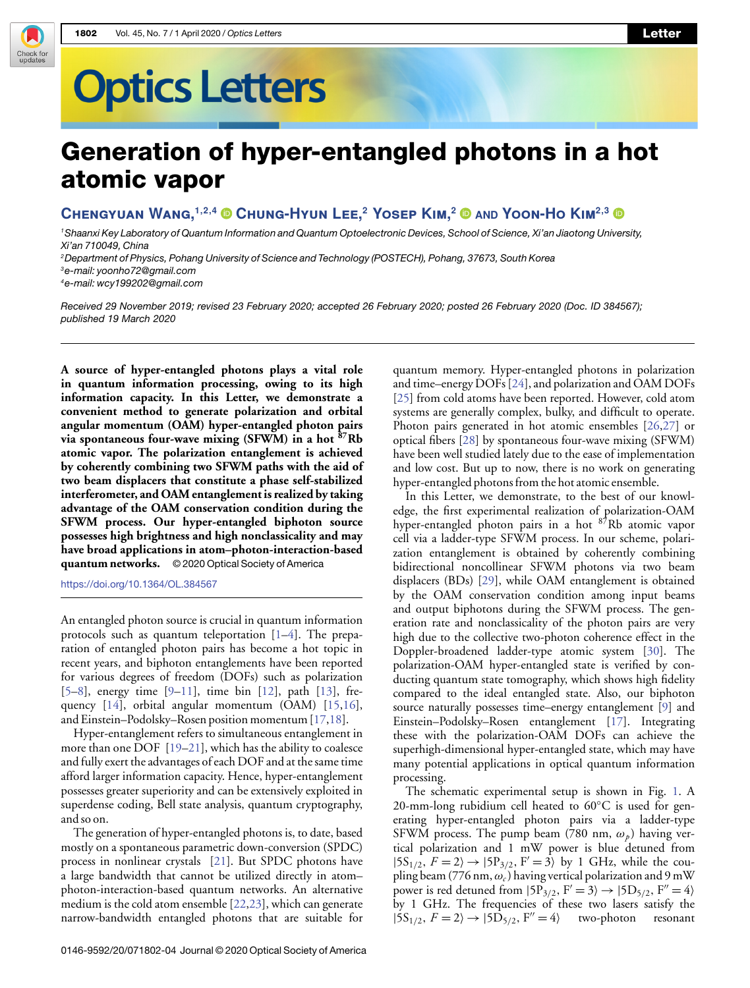## **Optics Letters**

## Generation of hyper-entangled photons in a hot atomic vapor

**Chengyuan Wang,1,2,4 Chung-Hyun Lee,<sup>2</sup> Yosep Kim,<sup>2</sup> AND Yoon-Ho Kim2,3**

<sup>1</sup>Shaanxi Key Laboratory of Quantum Information and Quantum Optoelectronic Devices, School of Science, Xi'an Jiaotong University, Xi'an 710049, China

<sup>2</sup>Department of Physics, Pohang University of Science and Technology (POSTECH), Pohang, 37673, South Korea

<sup>3</sup>e-mail: [yoonho72@gmail.com](mailto:yoonho72@gmail.com)

Check for<br>updates

<sup>4</sup>e-mail: [wcy199202@gmail.com](mailto:wcy199202@gmail.com)

Received 29 November 2019; revised 23 February 2020; accepted 26 February 2020; posted 26 February 2020 (Doc. ID 384567); published 19 March 2020

**A source of hyper-entangled photons plays a vital role in quantum information processing, owing to its high information capacity. In this Letter, we demonstrate a convenient method to generate polarization and orbital angular momentum (OAM) hyper-entangled photon pairs via spontaneous four-wave mixing (SFWM) in a hot <sup>87</sup>Rb atomic vapor. The polarization entanglement is achieved by coherently combining two SFWM paths with the aid of two beam displacers that constitute a phase self-stabilized interferometer, and OAM entanglement is realized by taking advantage of the OAM conservation condition during the SFWM process. Our hyper-entangled biphoton source possesses high brightness and high nonclassicality and may have broad applications in atom–photon-interaction-based quantum networks.** © 2020 Optical Society of America

<https://doi.org/10.1364/OL.384567>

An entangled photon source is crucial in quantum information protocols such as quantum teleportation  $[1-4]$  $[1-4]$ . The preparation of entangled photon pairs has become a hot topic in recent years, and biphoton entanglements have been reported for various degrees of freedom (DOFs) such as polarization [\[5](#page-3-2)[–8\]](#page-3-3), energy time  $[9-11]$  $[9-11]$ , time bin  $[12]$ , path  $[13]$ , frequency [\[14\]](#page-3-8), orbital angular momentum (OAM) [\[15,](#page-3-9)[16\]](#page-3-10), and Einstein–Podolsky–Rosen position momentum [\[17](#page-3-11)[,18\]](#page-3-12).

Hyper-entanglement refers to simultaneous entanglement in more than one DOF [\[19](#page-3-13)[–21\]](#page-3-14), which has the ability to coalesce and fully exert the advantages of each DOF and at the same time afford larger information capacity. Hence, hyper-entanglement possesses greater superiority and can be extensively exploited in superdense coding, Bell state analysis, quantum cryptography, and so on.

The generation of hyper-entangled photons is, to date, based mostly on a spontaneous parametric down-conversion (SPDC) process in nonlinear crystals [\[21\]](#page-3-14). But SPDC photons have a large bandwidth that cannot be utilized directly in atom– photon-interaction-based quantum networks. An alternative medium is the cold atom ensemble [\[22](#page-3-15)[,23\]](#page-3-16), which can generate narrow-bandwidth entangled photons that are suitable for quantum memory. Hyper-entangled photons in polarization and time–energy DOFs [\[24\]](#page-3-17), and polarization and OAM DOFs [\[25\]](#page-3-18) from cold atoms have been reported. However, cold atom systems are generally complex, bulky, and difficult to operate. Photon pairs generated in hot atomic ensembles [\[26](#page-3-19)[,27\]](#page-3-20) or optical fibers [\[28\]](#page-3-21) by spontaneous four-wave mixing (SFWM) have been well studied lately due to the ease of implementation and low cost. But up to now, there is no work on generating hyper-entangled photons from the hot atomic ensemble.

In this Letter, we demonstrate, to the best of our knowledge, the first experimental realization of polarization-OAM hyper-entangled photon pairs in a hot <sup>87</sup>Rb atomic vapor cell via a ladder-type SFWM process. In our scheme, polarization entanglement is obtained by coherently combining bidirectional noncollinear SFWM photons via two beam displacers (BDs) [\[29\]](#page-3-22), while OAM entanglement is obtained by the OAM conservation condition among input beams and output biphotons during the SFWM process. The generation rate and nonclassicality of the photon pairs are very high due to the collective two-photon coherence effect in the Doppler-broadened ladder-type atomic system [\[30\]](#page-3-23). The polarization-OAM hyper-entangled state is verified by conducting quantum state tomography, which shows high fidelity compared to the ideal entangled state. Also, our biphoton source naturally possesses time–energy entanglement [\[9\]](#page-3-4) and Einstein–Podolsky–Rosen entanglement [\[17\]](#page-3-11). Integrating these with the polarization-OAM DOFs can achieve the superhigh-dimensional hyper-entangled state, which may have many potential applications in optical quantum information processing.

The schematic experimental setup is shown in Fig. [1.](#page-1-0) A 20-mm-long rubidium cell heated to  $60^{\circ}$ C is used for generating hyper-entangled photon pairs via a ladder-type SFWM process. The pump beam (780 nm,  $\omega_p$ ) having vertical polarization and 1 mW power is blue detuned from  $|5S_{1/2}, F = 2\rangle \rightarrow |5P_{3/2}, F' = 3\rangle$  by 1 GHz, while the coupling beam (776 nm,  $\omega_c$ ) having vertical polarization and 9 mW power is red detuned from  $\overline{5P_{3/2}}$ ,  $F' = 3 \rightarrow \overline{5D_{5/2}}$ ,  $F'' = 4 \rangle$ by 1 GHz. The frequencies of these two lasers satisfy the  $|5S_{1/2}, F = 2\rangle \rightarrow |5D_{5/2}, F'' = 4\rangle$  two-photon resonant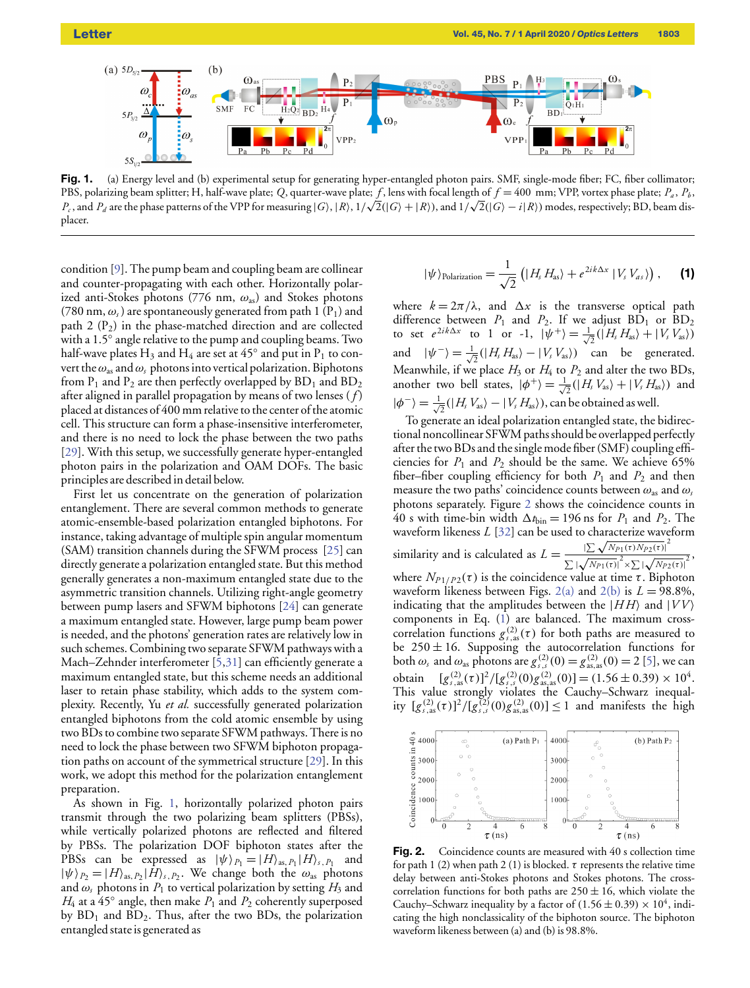<span id="page-1-0"></span>

Fig. 1. (a) Energy level and (b) experimental setup for generating hyper-entangled photon pairs. SMF, single-mode fiber; FC, fiber collimator; PBS, polarizing beam splitter; H, half-wave plate; *Q*, quarter-wave plate;  $f$ , lens with focal length of  $f = 400$  mm; VPP, vortex phase plate;  $P_a$ ,  $P_b$ , *P*<sub>c</sub>, and *P*<sub>d</sub> are the phase patterns of the VPP for measuring |*G*), |*R*), 1/√2(|*G*) + |*R*)), and 1/√2(|*G*) − *i*|*R*)) modes, respectively; BD, beam displacer.

condition [\[9\]](#page-3-4). The pump beam and coupling beam are collinear and counter-propagating with each other. Horizontally polarized anti-Stokes photons (776 nm,  $\omega_{as}$ ) and Stokes photons (780 nm,  $\omega_s$ ) are spontaneously generated from path 1 (P<sub>1</sub>) and path 2  $(P_2)$  in the phase-matched direction and are collected with a 1.5◦ angle relative to the pump and coupling beams. Two half-wave plates  $\rm H_3$  and  $\rm H_4$  are set at 45 $^{\circ}$  and put in  $\rm P_1$  to convert the  $\omega_{as}$  and  $\omega_s$  photons into vertical polarization. Biphotons from  $P_1$  and  $P_2$  are then perfectly overlapped by  $BD_1$  and  $BD_2$ after aligned in parallel propagation by means of two lenses ( *f* ) placed at distances of 400 mm relative to the center of the atomic cell. This structure can form a phase-insensitive interferometer, and there is no need to lock the phase between the two paths [\[29\]](#page-3-22). With this setup, we successfully generate hyper-entangled photon pairs in the polarization and OAM DOFs. The basic principles are described in detail below.

First let us concentrate on the generation of polarization entanglement. There are several common methods to generate atomic-ensemble-based polarization entangled biphotons. For instance, taking advantage of multiple spin angular momentum (SAM) transition channels during the SFWM process [\[25\]](#page-3-18) can directly generate a polarization entangled state. But this method generally generates a non-maximum entangled state due to the asymmetric transition channels. Utilizing right-angle geometry between pump lasers and SFWM biphotons [\[24\]](#page-3-17) can generate a maximum entangled state. However, large pump beam power is needed, and the photons' generation rates are relatively low in such schemes. Combining two separate SFWM pathways with a Mach–Zehnder interferometer [\[5,](#page-3-2)[31\]](#page-3-24) can efficiently generate a maximum entangled state, but this scheme needs an additional laser to retain phase stability, which adds to the system complexity. Recently, Yu *et al.* successfully generated polarization entangled biphotons from the cold atomic ensemble by using two BDs to combine two separate SFWM pathways. There is no need to lock the phase between two SFWM biphoton propagation paths on account of the symmetrical structure [\[29\]](#page-3-22). In this work, we adopt this method for the polarization entanglement preparation.

<span id="page-1-2"></span>As shown in Fig. [1,](#page-1-0) horizontally polarized photon pairs transmit through the two polarizing beam splitters (PBSs), while vertically polarized photons are reflected and filtered by PBSs. The polarization DOF biphoton states after the PBSs can be expressed as  $|\psi\rangle_{P_1} = |H\rangle_{\text{as}, P_1} |H\rangle_{\text{s}, P_1}$  and  $|\psi\rangle_{P_2} = |H\rangle_{\text{as, }P_2} |\dot{H}\rangle_{\text{s, }P_2}$ . We change both the  $\omega_{\text{as}}$  photons and  $\omega$ <sub>s</sub> photons in  $P_1$  to vertical polarization by setting  $H_3$  and  $H_4$  at a 45 $\circ$  angle, then make  $P_1$  and  $P_2$  coherently superposed by  $BD_1$  and  $BD_2$ . Thus, after the two BDs, the polarization entangled state is generated as

$$
|\psi\rangle_{\text{Polarization}} = \frac{1}{\sqrt{2}} \left( |H_s H_{\text{as}} \rangle + e^{2ik\Delta x} |V_s V_{as} \rangle \right), \quad \textbf{(1)}
$$

where  $k = 2\pi/\lambda$ , and  $\Delta x$  is the transverse optical path difference between  $P_1$  and  $P_2$ . If we adjust  $BD_1$  or  $BD_2$ to set  $e^{2ik\Delta x}$  to 1 or -1,  $|\psi^+\rangle = \frac{1}{\sqrt{2}}(|H_s H_{as}\rangle + |V_s V_{as}\rangle)$ and  $|\psi^{-}\rangle = \frac{1}{\sqrt{2}}(|H_s H_{as}\rangle - |V_s V_{as}\rangle)$  can be generated. Meanwhile, if we place  $H_3$  or  $H_4$  to  $P_2$  and alter the two BDs, another two bell states,  $|\phi^{+}\rangle = \frac{1}{\sqrt{2}}(|H_{s}V_{as}\rangle + |V_{s}H_{as}\rangle)$  and  $|\phi^{-}\rangle = \frac{1}{\sqrt{2}}(|H_s V_{as}\rangle - |V_s H_{as}\rangle)$ , can be obtained as well.

To generate an ideal polarization entangled state, the bidirectional noncollinear SFWM paths should be overlapped perfectly after the two BDs and the single mode fiber (SMF) coupling efficiencies for  $P_1$  and  $P_2$  should be the same. We achieve 65% fiber–fiber coupling efficiency for both  $P_1$  and  $P_2$  and then measure the two paths' coincidence counts between  $\omega_{\text{as}}$  and  $\omega_{\text{s}}$ photons separately. Figure [2](#page-1-1) shows the coincidence counts in 40 s with time-bin width  $\Delta t_{\text{bin}} = 196$  ns for  $P_1$  and  $P_2$ . The waveform likeness *L* [\[32\]](#page-3-25) can be used to characterize waveform waveform increase  $L$  [52] can be used to characterize wave<br>
similarity and is calculated as  $L = \frac{|\sum \sqrt{N_{P1}(t) N_{P2}(t)}|^2}{\sqrt{N_{P2}(t) N_{P2}(t)}}$  $\frac{1}{\sum |\mathbf{x}|}$  $\frac{N}{Np_1(\tau)} \times \sum |\sqrt{Np_2(\tau)}|$  $\frac{1}{Np_2(\tau)}$ <sub>2</sub>, where  $N_{P1/P2}(\tau)$  is the coincidence value at time  $\tau$ . Biphoton waveform likeness between Figs. [2\(a\)](#page-1-1) and [2\(b\)](#page-1-1) is  $L = 98.8\%$ , indicating that the amplitudes between the  $|HH\rangle$  and  $|VV\rangle$ components in Eq. [\(1\)](#page-1-2) are balanced. The maximum crosscorrelation functions  $g_{s,as}^{(2)}(\tau)$  for both paths are measured to be  $250 \pm 16$ . Supposing the autocorrelation functions for both  $\omega_s$  and  $\omega_{as}$  photons are  $g_{s,s}^{(2)}(0) = g_{as,as}^{(2)}(0) = 2$  [\[5\]](#page-3-2), we can obtain  $[g_{s,as}^{(2)}(\tau)]^2/[g_{s,s}^{(2)}(0)g_{as,as}^{(2)}(0)] = (1.56 \pm 0.39) \times 10^4$ . This value strongly violates the Cauchy–Schwarz inequality  $[g_{s,as}^{(2)}(\tau)]^2/[g_{s,s}^{(2)}(0)g_{as,as}^{(2)}(0)] \le 1$  and manifests the high

<span id="page-1-1"></span>

Fig. 2. Coincidence counts are measured with 40 s collection time for path 1 (2) when path 2 (1) is blocked.  $\tau$  represents the relative time delay between anti-Stokes photons and Stokes photons. The crosscorrelation functions for both paths are  $250 \pm 16$ , which violate the Cauchy–Schwarz inequality by a factor of  $(1.56 \pm 0.39) \times 10^4$ , indicating the high nonclassicality of the biphoton source. The biphoton waveform likeness between (a) and (b) is 98.8%.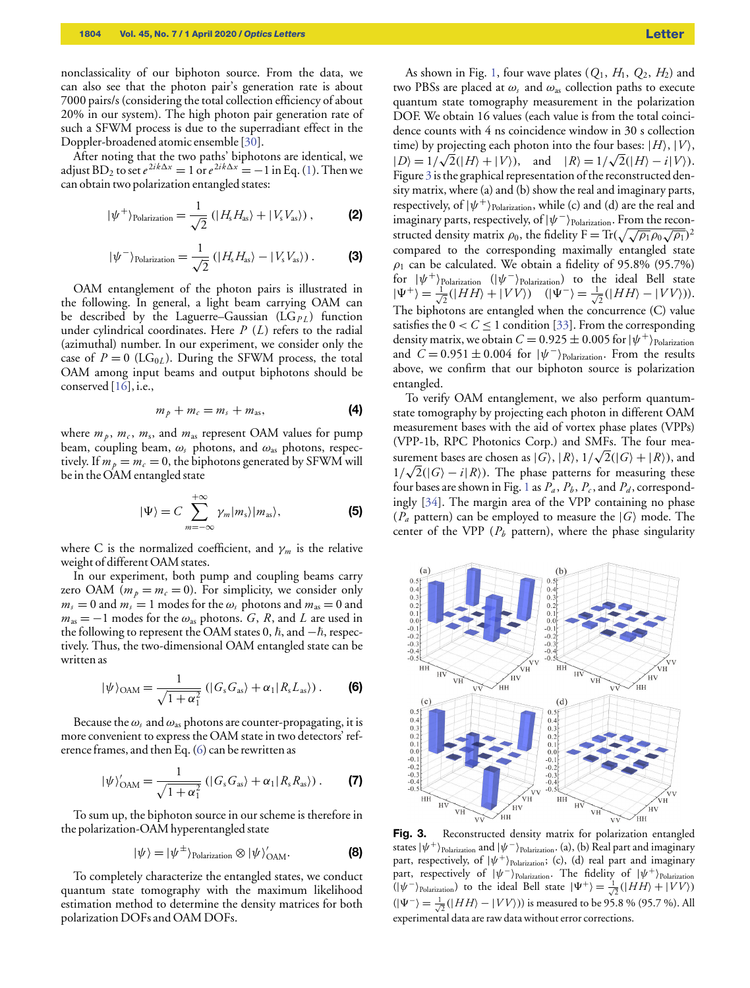nonclassicality of our biphoton source. From the data, we can also see that the photon pair's generation rate is about 7000 pairs/s (considering the total collection efficiency of about 20% in our system). The high photon pair generation rate of such a SFWM process is due to the superradiant effect in the Doppler-broadened atomic ensemble [\[30\]](#page-3-23).

After noting that the two paths' biphotons are identical, we adjust BD<sub>2</sub> to set  $e^{2ik\Delta x} = 1$  or  $e^{2ik\Delta x} = -1$  in Eq. [\(1\)](#page-1-2). Then we can obtain two polarization entangled states:

$$
|\psi^{+}\rangle_{\text{Polarization}} = \frac{1}{\sqrt{2}} (|H_{s}H_{as}\rangle + |V_{s}V_{as}\rangle), \tag{2}
$$

$$
|\psi^{-}\rangle_{\text{Polarization}} = \frac{1}{\sqrt{2}} (|H_{s}H_{\text{as}}\rangle - |V_{s}V_{\text{as}}\rangle). \tag{3}
$$

OAM entanglement of the photon pairs is illustrated in the following. In general, a light beam carrying OAM can be described by the Laguerre–Gaussian (LG<sub>PL</sub>) function under cylindrical coordinates. Here *P* (*L*) refers to the radial (azimuthal) number. In our experiment, we consider only the case of  $P = 0$  (LG<sub>0L</sub>). During the SFWM process, the total OAM among input beams and output biphotons should be conserved [\[16\]](#page-3-10), i.e.,

$$
m_p + m_c = m_s + m_{\rm as}, \qquad \qquad \textbf{(4)}
$$

where  $m_p$ ,  $m_c$ ,  $m_s$ , and  $m_{\text{as}}$  represent OAM values for pump beam, coupling beam,  $\omega_s$  photons, and  $\omega_{as}$  photons, respectively. If  $m_p = m_c = 0$ , the biphotons generated by SFWM will be in the OAM entangled state

$$
|\Psi\rangle = C \sum_{m=-\infty}^{+\infty} \gamma_m |m_s\rangle |m_{as}\rangle, \tag{5}
$$

where C is the normalized coefficient, and  $\gamma_m$  is the relative weight of different OAM states.

In our experiment, both pump and coupling beams carry zero OAM ( $m_p = m_c = 0$ ). For simplicity, we consider only  $m<sub>s</sub> = 0$  and  $m<sub>s</sub> = 1$  modes for the  $\omega<sub>s</sub>$  photons and  $m<sub>as</sub> = 0$  and  $m_{\text{as}} = -1$  modes for the  $\omega_{\text{as}}$  photons. *G*, *R*, and *L* are used in the following to represent the OAM states 0,  $\hbar$ , and  $-\hbar$ , respectively. Thus, the two-dimensional OAM entangled state can be written as

<span id="page-2-0"></span>
$$
|\psi\rangle_{\text{OAM}} = \frac{1}{\sqrt{1 + \alpha_1^2}} \left( |G_s G_{\text{as}} \rangle + \alpha_1 |R_s L_{\text{as}} \rangle \right). \tag{6}
$$

Because the  $\omega_s$  and  $\omega_{as}$  photons are counter-propagating, it is more convenient to express the OAM state in two detectors' reference frames, and then Eq. [\(6\)](#page-2-0) can be rewritten as

$$
|\psi\rangle'_{\text{OAM}} = \frac{1}{\sqrt{1 + \alpha_1^2}} \left( |G_s G_{\text{as}} \rangle + \alpha_1 |R_s R_{\text{as}} \rangle \right). \tag{7}
$$

To sum up, the biphoton source in our scheme is therefore in the polarization-OAM hyperentangled state

$$
|\psi\rangle = |\psi^{\pm}\rangle_{\text{Polarization}} \otimes |\psi\rangle_{\text{OAM}}^{\prime}.
$$
 (8)

To completely characterize the entangled states, we conduct quantum state tomography with the maximum likelihood estimation method to determine the density matrices for both polarization DOFs and OAM DOFs.

As shown in Fig. [1,](#page-1-0) four wave plates  $(Q_1, H_1, Q_2, H_2)$  and two PBSs are placed at  $\omega_s$  and  $\omega_{\text{as}}$  collection paths to execute quantum state tomography measurement in the polarization DOF. We obtain 16 values (each value is from the total coincidence counts with 4 ns coincidence window in 30 s collection time) by projecting each photon into the four bases:  $|H\rangle$ ,  $|V\rangle$ ,  $|D\rangle = 1/\sqrt{2}(|H\rangle + |V\rangle)$ , and  $|R\rangle = 1/\sqrt{2}(|H\rangle - i|V\rangle)$ . Figure [3](#page-2-1) is the graphical representation of the reconstructed density matrix, where (a) and (b) show the real and imaginary parts, respectively, of  $|\psi^{+}\rangle_{\rm Polarization}$ , while (c) and (d) are the real and imaginary parts, respectively, of  $|\psi^{-}\rangle_{\rm Polarization}$ . From the reconstructed density matrix  $\rho_0$ , the fidelity  $F = Tr(\sqrt{\sqrt{\rho_1}\rho_0\sqrt{\rho_1}})^2$ compared to the corresponding maximally entangled state  $\rho_1$  can be calculated. We obtain a fidelity of 95.8% (95.7%) for  $|\psi^{+}\rangle_{\text{Polarization}}$  ( $|\psi^{-}\rangle_{\text{Polarization}}$ ) to the ideal Bell state  $|\Psi^+\rangle = \frac{1}{\sqrt{2}}(|HH\rangle + |VV\rangle)$   $(|\Psi^-\rangle = \frac{1}{\sqrt{2}}(|HH\rangle - |VV\rangle)).$ The biphotons are entangled when the concurrence (C) value satisfies the  $0 < C < 1$  condition [\[33\]](#page-3-26). From the corresponding density matrix, we obtain  $C = 0.925 \pm 0.005$  for  $|\psi^{+}\rangle_{\rm Polarization}$ and  $\dot{C} = 0.951 \pm 0.004$  for  $|\psi^{-}\rangle_{\text{Polarization}}$ . From the results above, we confirm that our biphoton source is polarization entangled.

To verify OAM entanglement, we also perform quantumstate tomography by projecting each photon in different OAM measurement bases with the aid of vortex phase plates (VPPs) (VPP-1b, RPC Photonics Corp.) and SMFs. The four mea-√ surement bases are chosen as  $|G\rangle$ ,  $|R\rangle$ ,  $1/\sqrt{2}(|G\rangle + |R\rangle)$ , and  $1/\sqrt{2}(|G\rangle - i|R\rangle)$ . The phase patterns for measuring these four bases are shown in Fig. [1](#page-1-0) as  $P_a$  ,  $P_b$  ,  $P_c$  , and  $P_d$  , correspondingly [\[34\]](#page-3-27). The margin area of the VPP containing no phase  $(P_a$  pattern) can be employed to measure the  $|G\rangle$  mode. The center of the VPP  $(P_b \text{ pattern})$ , where the phase singularity

<span id="page-2-1"></span>

Fig. 3. Reconstructed density matrix for polarization entangled states  $\ket{\psi^+}$ Polarization and  $\ket{\psi^-}$ Polarization. (a), (b) Real part and imaginary part, respectively, of  $|\psi^{+}\rangle_{\mathrm{Polarization}}$ ; (c), (d) real part and imaginary part, respectively of  $|\psi^{-}\rangle_{\text{Polarization}}$ . The fidelity of  $|\psi^{+}\rangle_{\text{Polarization}}$  $(|\psi^{-}\rangle)_{\text{Polarization}}$ ) to the ideal Bell state  $|\Psi^{+}\rangle = \frac{1}{\sqrt{2}}(|HH\rangle + |VV\rangle)$  $(|\Psi^{-}\rangle = \frac{1}{\sqrt{2}}(|HH\rangle - |VV\rangle))$  is measured to be 95.8 % (95.7 %). All experimental data are raw data without error corrections.